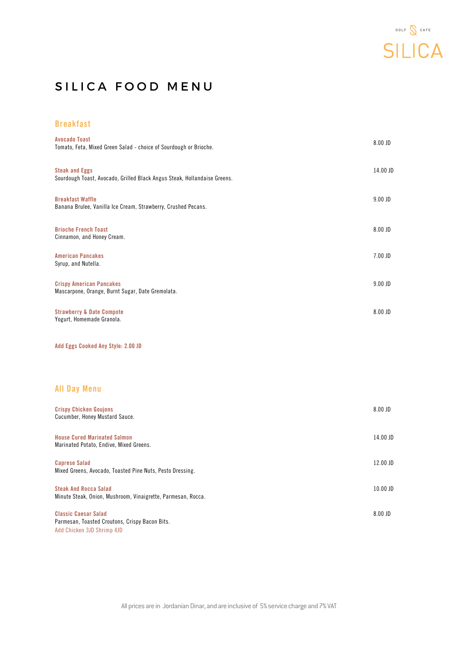

## SILICA FOOD MENU

## Breakfast

| <b>Avocado Toast</b><br>Tomato, Feta, Mixed Green Salad - choice of Sourdough or Brioche.                   | 8.00 JD   |
|-------------------------------------------------------------------------------------------------------------|-----------|
| <b>Steak and Eggs</b><br>Sourdough Toast, Avocado, Grilled Black Angus Steak, Hollandaise Greens.           | 14.00 JD  |
| <b>Breakfast Waffle</b><br>Banana Brulee, Vanilla Ice Cream, Strawberry, Crushed Pecans.                    | $9.00$ JD |
| <b>Brioche French Toast</b><br>Cinnamon, and Honey Cream.                                                   | 8.00 JD   |
| <b>American Pancakes</b><br>Syrup, and Nutella.                                                             | 7.00 JD   |
| <b>Crispy American Pancakes</b><br>Mascarpone, Orange, Burnt Sugar, Date Gremolata.                         | $9.00$ JD |
| <b>Strawberry &amp; Date Compote</b><br>Yogurt, Homemade Granola.                                           | 8.00 JD   |
| Add Eggs Cooked Any Style: 2.00 JD                                                                          |           |
| <b>All Day Menu</b>                                                                                         |           |
| <b>Crispy Chicken Goujons</b><br>Cucumber, Honey Mustard Sauce.                                             | 8.00 JD   |
| <b>House Cured Marinated Salmon</b><br>Marinated Potato, Endive, Mixed Greens.                              | 14.00 JD  |
| <b>Caprese Salad</b><br>Mixed Greens, Avocado, Toasted Pine Nuts, Pesto Dressing.                           | 12.00 JD  |
| <b>Steak And Rocca Salad</b><br>Minute Steak, Onion, Mushroom, Vinaigrette, Parmesan, Rocca.                | 10.00 JD  |
| <b>Classic Caesar Salad</b><br>Parmesan, Toasted Croutons, Crispy Bacon Bits.<br>Add Chicken 3JD Shrimp 4JD | 8.00 JD   |